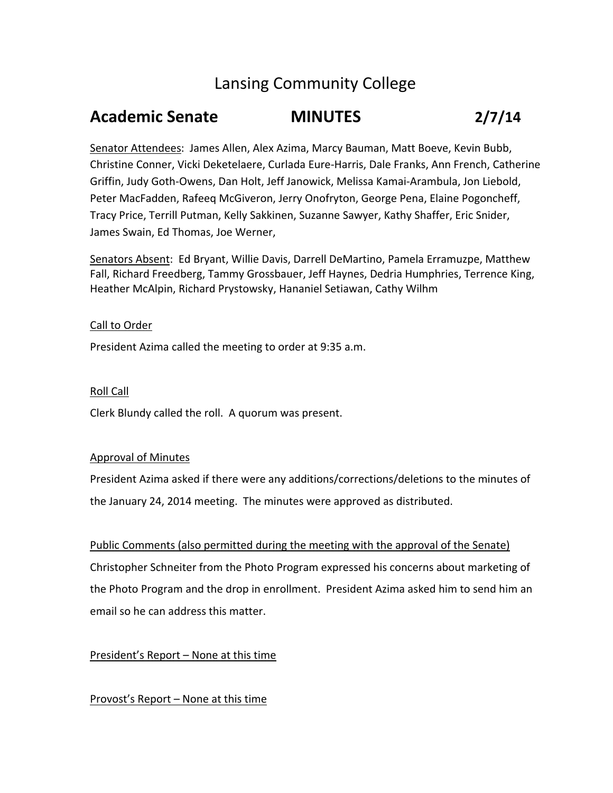# Lansing Community College

# **Academic Senate MINUTES 2/7/14**

Senator Attendees: James Allen, Alex Azima, Marcy Bauman, Matt Boeve, Kevin Bubb, Christine Conner, Vicki Deketelaere, Curlada Eure‐Harris, Dale Franks, Ann French, Catherine Griffin, Judy Goth‐Owens, Dan Holt, Jeff Janowick, Melissa Kamai‐Arambula, Jon Liebold, Peter MacFadden, Rafeeq McGiveron, Jerry Onofryton, George Pena, Elaine Pogoncheff, Tracy Price, Terrill Putman, Kelly Sakkinen, Suzanne Sawyer, Kathy Shaffer, Eric Snider, James Swain, Ed Thomas, Joe Werner,

Senators Absent: Ed Bryant, Willie Davis, Darrell DeMartino, Pamela Erramuzpe, Matthew Fall, Richard Freedberg, Tammy Grossbauer, Jeff Haynes, Dedria Humphries, Terrence King, Heather McAlpin, Richard Prystowsky, Hananiel Setiawan, Cathy Wilhm

## Call to Order

President Azima called the meeting to order at 9:35 a.m.

### Roll Call

Clerk Blundy called the roll. A quorum was present.

### Approval of Minutes

President Azima asked if there were any additions/corrections/deletions to the minutes of the January 24, 2014 meeting. The minutes were approved as distributed.

### Public Comments (also permitted during the meeting with the approval of the Senate)

Christopher Schneiter from the Photo Program expressed his concerns about marketing of the Photo Program and the drop in enrollment. President Azima asked him to send him an email so he can address this matter.

# President's Report – None at this time

# Provost's Report – None at this time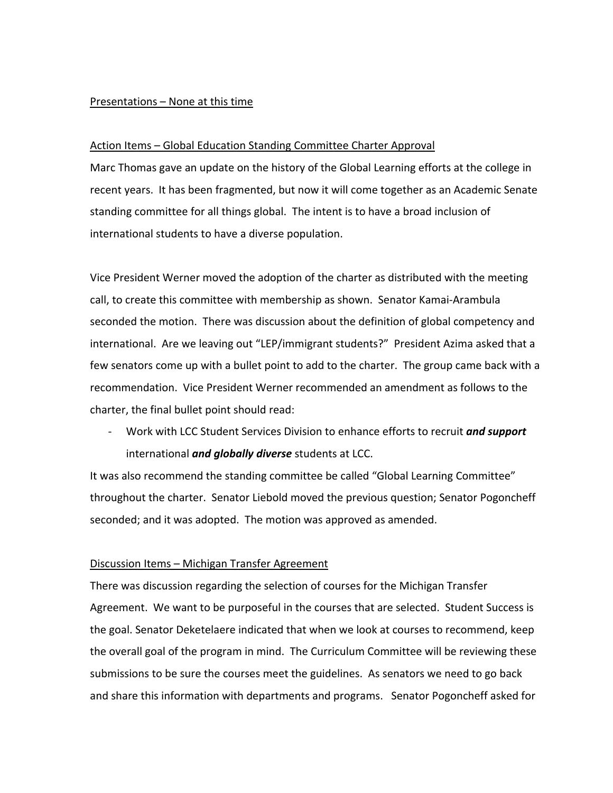#### Presentations – None at this time

#### Action Items – Global Education Standing Committee Charter Approval

Marc Thomas gave an update on the history of the Global Learning efforts at the college in recent years. It has been fragmented, but now it will come together as an Academic Senate standing committee for all things global. The intent is to have a broad inclusion of international students to have a diverse population.

Vice President Werner moved the adoption of the charter as distributed with the meeting call, to create this committee with membership as shown. Senator Kamai‐Arambula seconded the motion. There was discussion about the definition of global competency and international. Are we leaving out "LEP/immigrant students?" President Azima asked that a few senators come up with a bullet point to add to the charter. The group came back with a recommendation. Vice President Werner recommended an amendment as follows to the charter, the final bullet point should read:

‐ Work with LCC Student Services Division to enhance efforts to recruit *and support* international *and globally diverse* students at LCC.

It was also recommend the standing committee be called "Global Learning Committee" throughout the charter. Senator Liebold moved the previous question; Senator Pogoncheff seconded; and it was adopted. The motion was approved as amended.

#### Discussion Items – Michigan Transfer Agreement

There was discussion regarding the selection of courses for the Michigan Transfer Agreement. We want to be purposeful in the courses that are selected. Student Success is the goal. Senator Deketelaere indicated that when we look at courses to recommend, keep the overall goal of the program in mind. The Curriculum Committee will be reviewing these submissions to be sure the courses meet the guidelines. As senators we need to go back and share this information with departments and programs. Senator Pogoncheff asked for